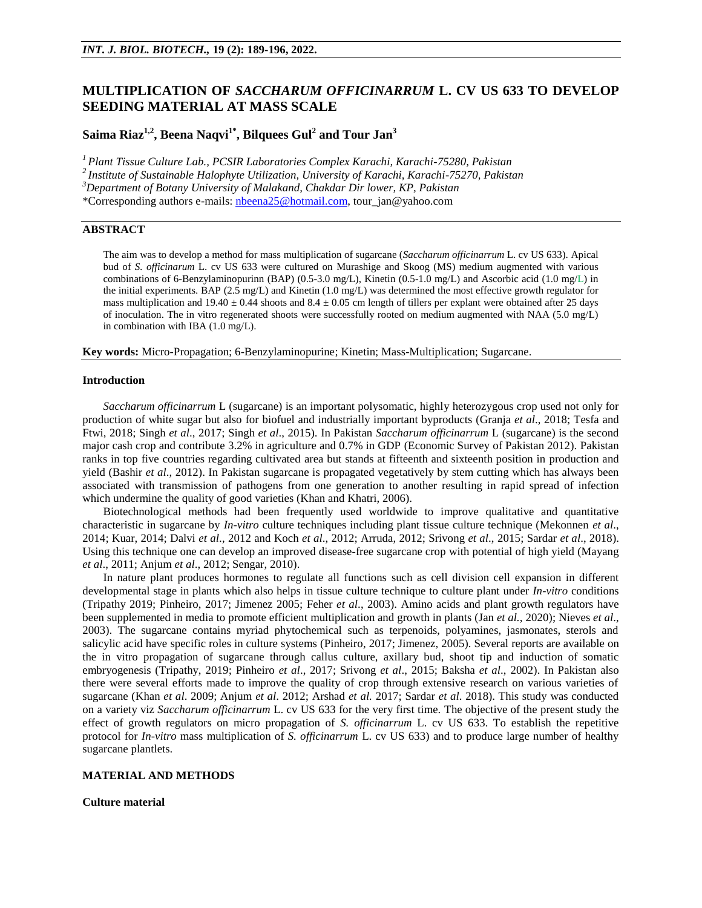# **MULTIPLICATION OF** *SACCHARUM OFFICINARRUM* **L. CV US 633 TO DEVELOP SEEDING MATERIAL AT MASS SCALE**

**Saima Riaz1,2, Beena Naqvi1\*, Bilquees Gul<sup>2</sup> and Tour Jan<sup>3</sup>**

*<sup>1</sup>Plant Tissue Culture Lab., PCSIR Laboratories Complex Karachi, Karachi-75280, Pakistan*

*<sup>2</sup>Institute of Sustainable Halophyte Utilization, University of Karachi, Karachi-75270, Pakistan*

*<sup>3</sup>Department of Botany University of Malakand, Chakdar Dir lower, KP, Pakistan*

\*Corresponding authors e-mails[: nbeena25@hotmail.com,](mailto:nbeena25@hotmail.com) tour\_jan@yahoo.com

## **ABSTRACT**

The aim was to develop a method for mass multiplication of sugarcane (*Saccharum officinarrum* L. cv US 633). Apical bud of *S. officinarum* L. cv US 633 were cultured on Murashige and Skoog (MS) medium augmented with various combinations of 6-Benzylaminopurinn (BAP) (0.5-3.0 mg/L), Kinetin (0.5-1.0 mg/L) and Ascorbic acid (1.0 mg/L) in the initial experiments. BAP (2.5 mg/L) and Kinetin (1.0 mg/L) was determined the most effective growth regulator for mass multiplication and  $19.40 \pm 0.44$  shoots and  $8.4 \pm 0.05$  cm length of tillers per explant were obtained after 25 days of inoculation. The in vitro regenerated shoots were successfully rooted on medium augmented with NAA (5.0 mg/L) in combination with IBA (1.0 mg/L).

**Key words:** Micro-Propagation; 6-Benzylaminopurine; Kinetin; Mass-Multiplication; Sugarcane.

#### **Introduction**

*Saccharum officinarrum* L (sugarcane) is an important polysomatic, highly heterozygous crop used not only for production of white sugar but also for biofuel and industrially important byproducts (Granja *et al*., 2018; Tesfa and Ftwi, 2018; Singh *et al*., 2017; Singh *et al*., 2015). In Pakistan *Saccharum officinarrum* L (sugarcane) is the second major cash crop and contribute 3.2% in agriculture and 0.7% in GDP (Economic Survey of Pakistan 2012). Pakistan ranks in top five countries regarding cultivated area but stands at fifteenth and sixteenth position in production and yield (Bashir *et al*., 2012). In Pakistan sugarcane is propagated vegetatively by stem cutting which has always been associated with transmission of pathogens from one generation to another resulting in rapid spread of infection which undermine the quality of good varieties (Khan and Khatri, 2006).

Biotechnological methods had been frequently used worldwide to improve qualitative and quantitative characteristic in sugarcane by *In-vitro* culture techniques including plant tissue culture technique (Mekonnen *et al*., 2014; Kuar, 2014; Dalvi *et al*., 2012 and Koch *et al*., 2012; Arruda, 2012; Srivong *et al*., 2015; Sardar *et al*., 2018). Using this technique one can develop an improved disease-free sugarcane crop with potential of high yield (Mayang *et al*., 2011; Anjum *et al*., 2012; Sengar, 2010).

In nature plant produces hormones to regulate all functions such as cell division cell expansion in different developmental stage in plants which also helps in tissue culture technique to culture plant under *In-vitro* conditions (Tripathy 2019; Pinheiro, 2017; Jimenez 2005; Feher *et al*., 2003). Amino acids and plant growth regulators have been supplemented in media to promote efficient multiplication and growth in plants (Jan *et al.,* 2020); Nieves *et al*., 2003). The sugarcane contains myriad phytochemical such as terpenoids, polyamines, jasmonates, sterols and salicylic acid have specific roles in culture systems (Pinheiro, 2017; Jimenez, 2005). Several reports are available on the in vitro propagation of sugarcane through callus culture, axillary bud, shoot tip and induction of somatic embryogenesis (Tripathy, 2019; Pinheiro *et al*., 2017; Srivong *et al*., 2015; Baksha *et al*., 2002). In Pakistan also there were several efforts made to improve the quality of crop through extensive research on various varieties of sugarcane (Khan *et al*. 2009; Anjum *et al*. 2012; Arshad *et al.* 2017; Sardar *et al*. 2018). This study was conducted on a variety viz *Saccharum officinarrum* L. cv US 633 for the very first time. The objective of the present study the effect of growth regulators on micro propagation of *S. officinarrum* L. cv US 633. To establish the repetitive protocol for *In-vitro* mass multiplication of *S. officinarrum* L. cv US 633) and to produce large number of healthy sugarcane plantlets.

## **MATERIAL AND METHODS**

## **Culture material**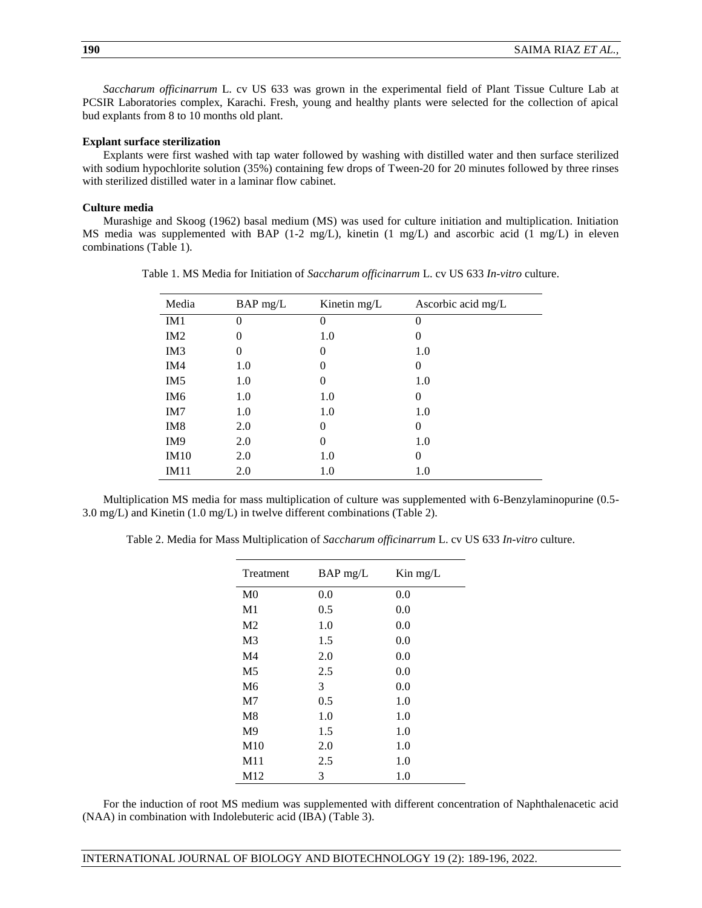*Saccharum officinarrum* L. cv US 633 was grown in the experimental field of Plant Tissue Culture Lab at PCSIR Laboratories complex, Karachi. Fresh, young and healthy plants were selected for the collection of apical bud explants from 8 to 10 months old plant.

#### **Explant surface sterilization**

Explants were first washed with tap water followed by washing with distilled water and then surface sterilized with sodium hypochlorite solution (35%) containing few drops of Tween-20 for 20 minutes followed by three rinses with sterilized distilled water in a laminar flow cabinet.

#### **Culture media**

Murashige and Skoog (1962) basal medium (MS) was used for culture initiation and multiplication. Initiation MS media was supplemented with BAP (1-2 mg/L), kinetin (1 mg/L) and ascorbic acid (1 mg/L) in eleven combinations (Table 1).

| Media           | BAP mg/L | Kinetin mg/L | Ascorbic acid mg/L |
|-----------------|----------|--------------|--------------------|
| IM1             | $\Omega$ | $\theta$     | $\theta$           |
| IM2             | $\Omega$ | 1.0          | 0                  |
| IM <sub>3</sub> | $^{(1)}$ | 0            | 1.0                |
| IM4             | 1.0      | $\theta$     | 0                  |
| IM <sub>5</sub> | 1.0      | $\theta$     | 1.0                |
| IM <sub>6</sub> | 1.0      | 1.0          | 0                  |
| IM7             | 1.0      | 1.0          | 1.0                |
| IM <sub>8</sub> | 2.0      | 0            | 0                  |
| IM <sub>9</sub> | 2.0      | 0            | 1.0                |
| IM10            | 2.0      | 1.0          | $\overline{0}$     |
| IM11            | 2.0      | 1.0          | 1.0                |

Table 1. MS Media for Initiation of *Saccharum officinarrum* L. cv US 633 *In-vitro* culture.

Multiplication MS media for mass multiplication of culture was supplemented with 6-Benzylaminopurine (0.5- 3.0 mg/L) and Kinetin (1.0 mg/L) in twelve different combinations (Table 2).

Table 2. Media for Mass Multiplication of *Saccharum officinarrum* L. cv US 633 *In-vitro* culture.

| Treatment      | $BAP$ mg/L | Kin mg/L |
|----------------|------------|----------|
| M <sub>0</sub> | 0.0        | 0.0      |
| M <sub>1</sub> | 0.5        | 0.0      |
| M <sub>2</sub> | 1.0        | 0.0      |
| M <sub>3</sub> | 1.5        | 0.0      |
| M4             | 2.0        | 0.0      |
| M <sub>5</sub> | 2.5        | 0.0      |
| M6             | 3          | 0.0      |
| M7             | 0.5        | 1.0      |
| M8             | 1.0        | 1.0      |
| M <sub>9</sub> | 1.5        | 1.0      |
| M10            | 2.0        | 1.0      |
| M11            | 2.5        | 1.0      |
| M12            | 3          | 1.0      |

For the induction of root MS medium was supplemented with different concentration of Naphthalenacetic acid (NAA) in combination with Indolebuteric acid (IBA) (Table 3).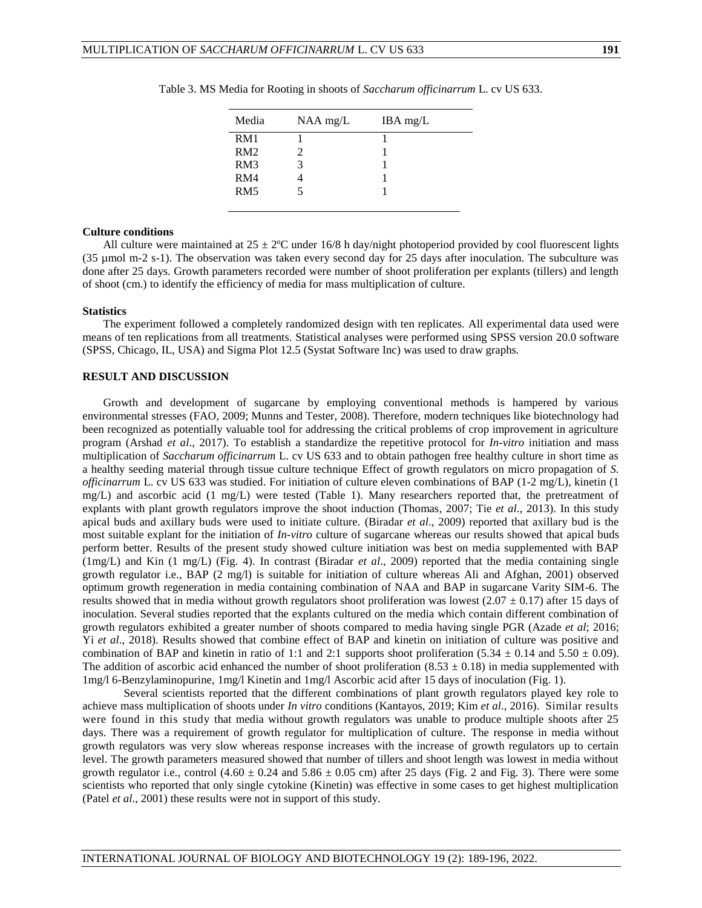| RM1      |
|----------|
| RM2      |
| RM3<br>3 |
| RM4      |
| RM5      |

Table 3. MS Media for Rooting in shoots of *Saccharum officinarrum* L. cv US 633.

## **Culture conditions**

All culture were maintained at  $25 \pm 2^{\circ}\text{C}$  under 16/8 h day/night photoperiod provided by cool fluorescent lights (35 µmol m-2 s-1). The observation was taken every second day for 25 days after inoculation. The subculture was done after 25 days. Growth parameters recorded were number of shoot proliferation per explants (tillers) and length of shoot (cm.) to identify the efficiency of media for mass multiplication of culture.

#### **Statistics**

The experiment followed a completely randomized design with ten replicates. All experimental data used were means of ten replications from all treatments. Statistical analyses were performed using SPSS version 20.0 software (SPSS, Chicago, IL, USA) and Sigma Plot 12.5 (Systat Software Inc) was used to draw graphs.

## **RESULT AND DISCUSSION**

Growth and development of sugarcane by employing conventional methods is hampered by various environmental stresses (FAO, 2009; Munns and Tester, 2008). Therefore, modern techniques like biotechnology had been recognized as potentially valuable tool for addressing the critical problems of crop improvement in agriculture program (Arshad *et al*., 2017). To establish a standardize the repetitive protocol for *In-vitro* initiation and mass multiplication of *Saccharum officinarrum* L. cv US 633 and to obtain pathogen free healthy culture in short time as a healthy seeding material through tissue culture technique Effect of growth regulators on micro propagation of *S. officinarrum* L. cv US 633 was studied. For initiation of culture eleven combinations of BAP (1-2 mg/L), kinetin (1 mg/L) and ascorbic acid (1 mg/L) were tested (Table 1). Many researchers reported that, the pretreatment of explants with plant growth regulators improve the shoot induction (Thomas, 2007; Tie *et al*., 2013). In this study apical buds and axillary buds were used to initiate culture. (Biradar *et al*., 2009) reported that axillary bud is the most suitable explant for the initiation of *In-vitro* culture of sugarcane whereas our results showed that apical buds perform better. Results of the present study showed culture initiation was best on media supplemented with BAP (1mg/L) and Kin (1 mg/L) (Fig. 4). In contrast (Biradar *et al*., 2009) reported that the media containing single growth regulator i.e., BAP (2 mg/l) is suitable for initiation of culture whereas Ali and Afghan, 2001) observed optimum growth regeneration in media containing combination of NAA and BAP in sugarcane Varity SIM-6. The results showed that in media without growth regulators shoot proliferation was lowest ( $2.07 \pm 0.17$ ) after 15 days of inoculation. Several studies reported that the explants cultured on the media which contain different combination of growth regulators exhibited a greater number of shoots compared to media having single PGR (Azade *et al*; 2016; Yi *et al*., 2018). Results showed that combine effect of BAP and kinetin on initiation of culture was positive and combination of BAP and kinetin in ratio of 1:1 and 2:1 supports shoot proliferation (5.34  $\pm$  0.14 and 5.50  $\pm$  0.09). The addition of ascorbic acid enhanced the number of shoot proliferation  $(8.53 \pm 0.18)$  in media supplemented with 1mg/l 6-Benzylaminopurine, 1mg/l Kinetin and 1mg/l Ascorbic acid after 15 days of inoculation (Fig. 1).

Several scientists reported that the different combinations of plant growth regulators played key role to achieve mass multiplication of shoots under *In vitro* conditions (Kantayos, 2019; Kim *et al*., 2016). Similar results were found in this study that media without growth regulators was unable to produce multiple shoots after 25 days. There was a requirement of growth regulator for multiplication of culture. The response in media without growth regulators was very slow whereas response increases with the increase of growth regulators up to certain level. The growth parameters measured showed that number of tillers and shoot length was lowest in media without growth regulator i.e., control  $(4.60 \pm 0.24$  and  $5.86 \pm 0.05$  cm) after 25 days (Fig. 2 and Fig. 3). There were some scientists who reported that only single cytokine (Kinetin) was effective in some cases to get highest multiplication (Patel *et al*., 2001) these results were not in support of this study.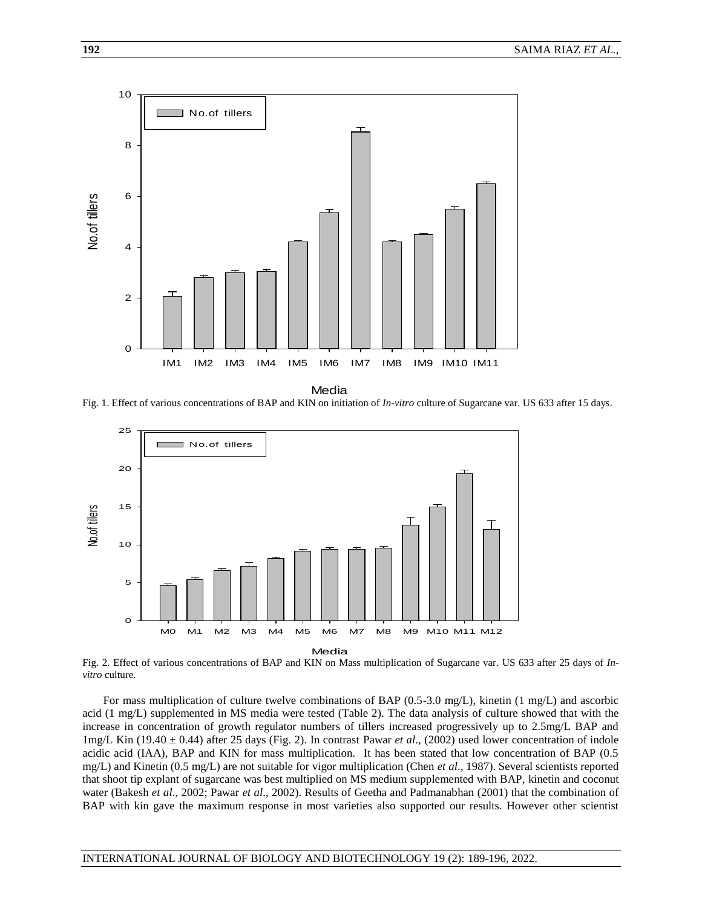

**Media** 

Fig. 1. Effect of various concentrations of BAP and KIN on initiation of *In-vitro* culture of Sugarcane var. US 633 after 15 days.



Fig. 2. Effect of various concentrations of BAP and KIN on Mass multiplication of Sugarcane var. US 633 after 25 days of *Invitro* culture.

For mass multiplication of culture twelve combinations of BAP (0.5-3.0 mg/L), kinetin (1 mg/L) and ascorbic acid (1 mg/L) supplemented in MS media were tested (Table 2). The data analysis of culture showed that with the increase in concentration of growth regulator numbers of tillers increased progressively up to 2.5mg/L BAP and 1mg/L Kin (19.40 ± 0.44) after 25 days (Fig. 2). In contrast Pawar *et al*., (2002) used lower concentration of indole acidic acid (IAA), BAP and KIN for mass multiplication. It has been stated that low concentration of BAP (0.5 mg/L) and Kinetin (0.5 mg/L) are not suitable for vigor multiplication (Chen *et al*., 1987). Several scientists reported that shoot tip explant of sugarcane was best multiplied on MS medium supplemented with BAP, kinetin and coconut water (Bakesh *et al*., 2002; Pawar *et al*., 2002). Results of Geetha and Padmanabhan (2001) that the combination of BAP with kin gave the maximum response in most varieties also supported our results. However other scientist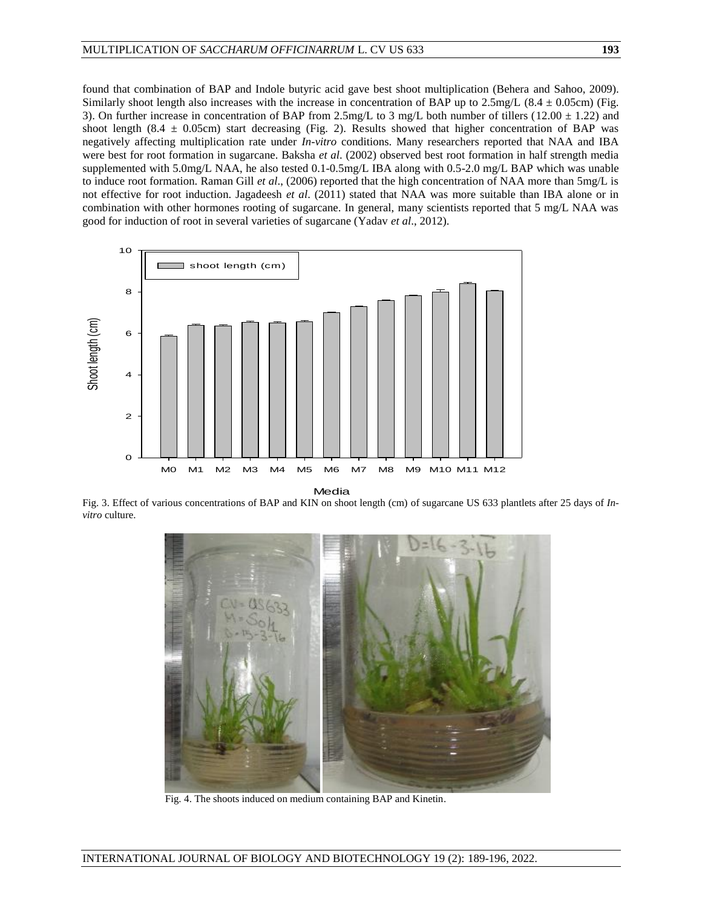found that combination of BAP and Indole butyric acid gave best shoot multiplication (Behera and Sahoo, 2009). Similarly shoot length also increases with the increase in concentration of BAP up to  $2.5 \text{mg/L}$  (8.4  $\pm$  0.05cm) (Fig. 3). On further increase in concentration of BAP from 2.5mg/L to 3 mg/L both number of tillers (12.00  $\pm$  1.22) and shoot length (8.4  $\pm$  0.05cm) start decreasing (Fig. 2). Results showed that higher concentration of BAP was negatively affecting multiplication rate under *In-vitro* conditions. Many researchers reported that NAA and IBA were best for root formation in sugarcane. Baksha *et al*. (2002) observed best root formation in half strength media supplemented with 5.0mg/L NAA, he also tested 0.1-0.5mg/L IBA along with 0.5-2.0 mg/L BAP which was unable to induce root formation. Raman Gill *et al*., (2006) reported that the high concentration of NAA more than 5mg/L is not effective for root induction. Jagadeesh *et al*. (2011) stated that NAA was more suitable than IBA alone or in combination with other hormones rooting of sugarcane. In general, many scientists reported that 5 mg/L NAA was good for induction of root in several varieties of sugarcane (Yadav *et al*., 2012).



Media

Fig. 3. Effect of various concentrations of BAP and KIN on shoot length (cm) of sugarcane US 633 plantlets after 25 days of *Invitro* culture.



Fig. 4. The shoots induced on medium containing BAP and Kinetin.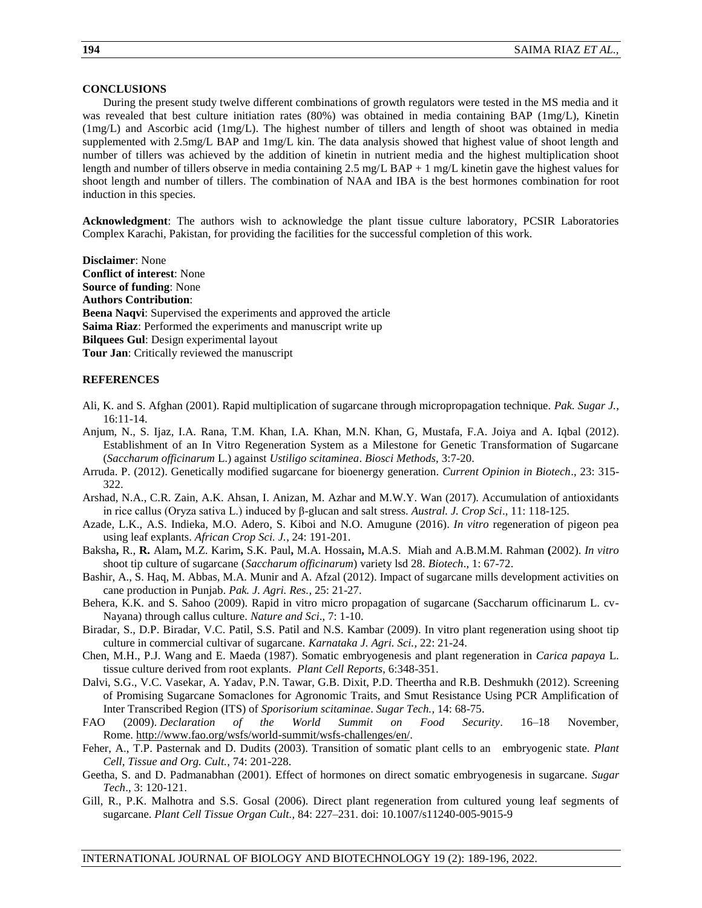### **CONCLUSIONS**

During the present study twelve different combinations of growth regulators were tested in the MS media and it was revealed that best culture initiation rates (80%) was obtained in media containing BAP (1mg/L), Kinetin (1mg/L) and Ascorbic acid (1mg/L). The highest number of tillers and length of shoot was obtained in media supplemented with 2.5mg/L BAP and 1mg/L kin. The data analysis showed that highest value of shoot length and number of tillers was achieved by the addition of kinetin in nutrient media and the highest multiplication shoot length and number of tillers observe in media containing 2.5 mg/L BAP + 1 mg/L kinetin gave the highest values for shoot length and number of tillers. The combination of NAA and IBA is the best hormones combination for root induction in this species.

**Acknowledgment**: The authors wish to acknowledge the plant tissue culture laboratory, PCSIR Laboratories Complex Karachi, Pakistan, for providing the facilities for the successful completion of this work.

**Disclaimer**: None **Conflict of interest**: None **Source of funding**: None **Authors Contribution**: **Beena Naqvi**: Supervised the experiments and approved the article **Saima Riaz**: Performed the experiments and manuscript write up **Bilquees Gul**: Design experimental layout **Tour Jan**: Critically reviewed the manuscript

## **REFERENCES**

- Ali, K. and S. Afghan (2001). Rapid multiplication of sugarcane through micropropagation technique. *Pak. Sugar J.*, 16:11-14.
- Anjum, N., S. Ijaz, I.A. Rana, T.M. Khan, I.A. Khan, M.N. Khan, G, Mustafa, F.A. Joiya and A. Iqbal (2012). Establishment of an In Vitro Regeneration System as a Milestone for Genetic Transformation of Sugarcane (*Saccharum officinarum* L.) against *Ustiligo scitaminea*. *Biosci Methods,* 3:7-20.
- Arruda. P. (2012). Genetically modified sugarcane for bioenergy generation. *Current Opinion in Biotech*., 23: 315- 322.
- Arshad, N.A., C.R. Zain, A.K. Ahsan, I. Anizan, M. Azhar and M.W.Y. Wan (2017). Accumulation of antioxidants in rice callus (Oryza sativa L.) induced by β-glucan and salt stress. *Austral. J. Crop Sci*., 11: 118-125.
- Azade, L.K., A.S. Indieka, M.O. Adero, S. Kiboi and N.O. Amugune (2016). *In vitro* regeneration of pigeon pea using leaf explants. *African Crop Sci. J.*, 24: 191-201.
- [Baksha](http://ascidatabase.com/author.php?author=R.&last=Baksha)**,** R., **R.** [Alam](http://ascidatabase.com/author.php?author=R.&last=Alam)**,** M.Z. [Karim](http://ascidatabase.com/author.php?author=M.Z.&last=Karim)**,** S.K. [Paul](http://ascidatabase.com/author.php?author=S.K.&last=Paul)**,** M.A. [Hossain](http://ascidatabase.com/author.php?author=M.A.&last=Hossain)**,** M.A.S. [Miah](http://ascidatabase.com/author.php?author=M.A.S.&last=Miah) [and A.B.M.M.](http://ascidatabase.com/author.php?author=A.B.M.M.&last=Rahman) Rahman **(**2002). *In vitro* shoot tip culture of sugarcane (*Saccharum officinarum*) variety lsd 28. *Biotech*., 1: 67-72.
- Bashir, A., S. Haq, M. Abbas, M.A. Munir and A. Afzal (2012). Impact of sugarcane mills development activities on cane production in Punjab. *Pak. J. Agri. Res.,* 25: 21-27.
- Behera, K.K. and S. Sahoo (2009). Rapid in vitro micro propagation of sugarcane (Saccharum officinarum L. cv-Nayana) through callus culture. *Nature and Sci*., 7: 1-10.
- Biradar, S., D.P. Biradar, V.C. Patil, S.S. Patil and N.S. Kambar (2009). In vitro plant regeneration using shoot tip culture in commercial cultivar of sugarcane. *Karnataka J. Agri. Sci.,* 22: 21-24.
- Chen, M.H., P.J. Wang and E. Maeda (1987). [Somatic embryogenesis and plant regeneration in](https://link.springer.com/article/10.1007/BF00269557) *Carica papaya* L. [tissue culture derived from root explants.](https://link.springer.com/article/10.1007/BF00269557) *Plant Cell Reports*, 6:348-351.
- Dalvi, S.G., V.C. Vasekar, A. Yadav, P.N. Tawar, G.B. Dixit, P.D. Theertha and R.B. Deshmukh (2012). Screening of Promising Sugarcane Somaclones for Agronomic Traits, and Smut Resistance Using PCR Amplification of Inter Transcribed Region (ITS) of *Sporisorium scitaminae*. *Sugar Tech.,* 14: 68-75.
- FAO (2009). *Declaration of the World Summit on Food Security*. 16–18 November, Rome. [http://www.fao.org/wsfs/world-summit/wsfs-challenges/en/.](http://www.fao.org/wsfs/world-summit/wsfs-challenges/en/)
- Feher, A., T.P. Pasternak and D. Dudits (2003). Transition of somatic plant cells to an embryogenic state. *Plant Cell, Tissue and Org. Cult.,* 74: 201-228.
- Geetha, S. and D. Padmanabhan (2001). Effect of hormones on direct somatic embryogenesis in sugarcane. *Sugar Tech*., 3: 120-121.
- Gill, R., P.K. Malhotra and S.S. Gosal (2006). Direct plant regeneration from cultured young leaf segments of sugarcane. *Plant Cell Tissue Organ Cult.,* 84: 227–231. doi: 10.1007/s11240-005-9015-9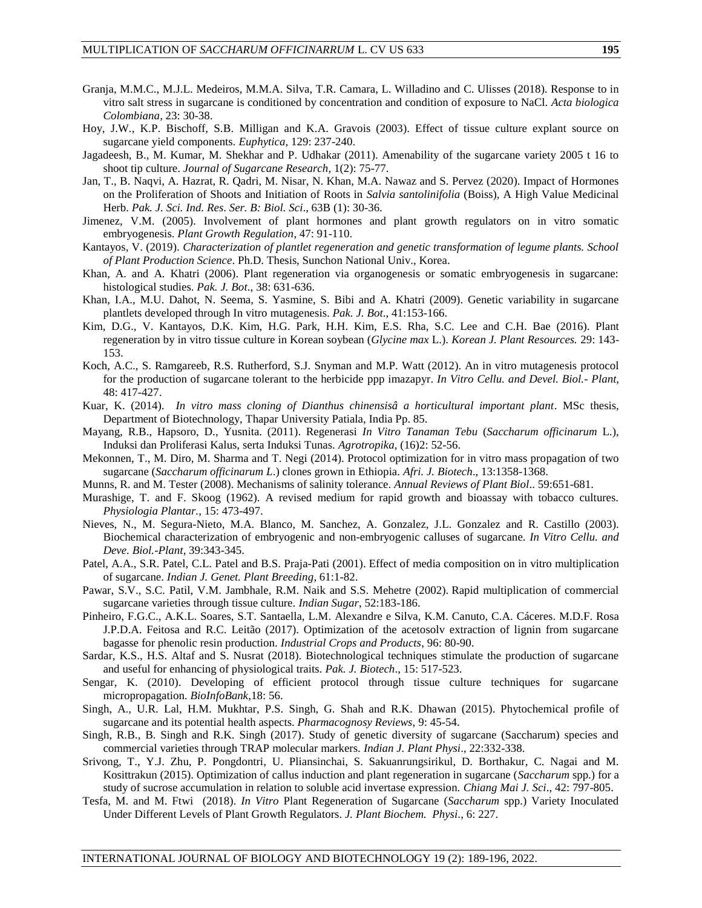- Granja, M.M.C., M.J.L. Medeiros, M.M.A. Silva, T.R. Camara, L. Willadino and C. Ulisses (2018). Response to in vitro salt stress in sugarcane is conditioned by concentration and condition of exposure to NaCl. *Acta biologica Colombiana*, 23: 30-38.
- Hoy, J.W., K.P. Bischoff, S.B. Milligan and K.A. Gravois (2003). Effect of tissue culture explant source on sugarcane yield components. *Euphytica*, 129: 237-240.
- Jagadeesh, B., M. Kumar, M. Shekhar and P. Udhakar (2011). Amenability of the sugarcane variety 2005 t 16 to shoot tip culture. *Journal of Sugarcane Research,* 1(2): 75-77.
- Jan, T., B. Naqvi, A. Hazrat, R. Qadri, M. Nisar, N. Khan, M.A. Nawaz and S. Pervez (2020). Impact of Hormones on the Proliferation of Shoots and Initiation of Roots in *Salvia santolinifolia* (Boiss), A High Value Medicinal Herb. *Pak. J. Sci. Ind. Res*. *Ser. B: Biol. Sci*., 63B (1): 30-36.
- Jimenez, V.M. (2005). Involvement of plant hormones and plant growth regulators on in vitro somatic embryogenesis. *Plant Growth Regulation*, 47: 91-110.
- Kantayos, V. (2019). *Characterization of plantlet regeneration and genetic transformation of legume plants. School of Plant Production Science*. Ph.D. Thesis, Sunchon National Univ., Korea.
- Khan, A. and A. Khatri (2006). Plant regeneration via organogenesis or somatic embryogenesis in sugarcane: histological studies. *Pak. J. Bot*., 38: 631-636.
- Khan, I.A., M.U. Dahot, N. Seema, S. Yasmine, S. Bibi and A. Khatri (2009). Genetic variability in sugarcane plantlets developed through In vitro mutagenesis. *Pak. J. Bot*., 41:153-166.
- Kim, D.G., V. Kantayos, D.K. Kim, H.G. Park, H.H. Kim, E.S. Rha, S.C. Lee and C.H. Bae (2016). Plant regeneration by in vitro tissue culture in Korean soybean (*Glycine max* L.). *Korean J. Plant Resources.* 29: 143- 153.
- Koch, A.C., S. Ramgareeb, R.S. Rutherford, S.J. Snyman and M.P. Watt (2012). An in vitro mutagenesis protocol for the production of sugarcane tolerant to the herbicide ppp imazapyr. *In Vitro Cellu. and Devel. Biol.- Plant*, 48: 417-427.
- Kuar, K. (2014). *In vitro mass cloning of Dianthus chinensisâ a horticultural important plant*. MSc thesis, Department of Biotechnology, Thapar University Patiala, India Pp. 85.
- Mayang, R.B., Hapsoro, D., Yusnita. (2011). Regenerasi *In Vitro Tanaman Tebu* (*Saccharum officinarum* L.), Induksi dan Proliferasi Kalus, serta Induksi Tunas. *Agrotropika*, (16)2: 52-56.
- Mekonnen, T., M. Diro, M. Sharma and T. Negi (2014). Protocol optimization for in vitro mass propagation of two sugarcane (*Saccharum officinarum L*.) clones grown in Ethiopia. *Afri. J. Biotech*., 13:1358-1368.
- Munns, R. and M. Tester (2008). Mechanisms of salinity tolerance. *Annual Reviews of Plant Biol*.. 59:651-681.
- Murashige, T. and F. Skoog (1962). A revised medium for rapid growth and bioassay with tobacco cultures. *Physiologia Plantar.,* 15: 473-497.
- Nieves, N., M. Segura-Nieto, M.A. Blanco, M. Sanchez, A. Gonzalez, J.L. Gonzalez and R. Castillo (2003). Biochemical characterization of embryogenic and non-embryogenic calluses of sugarcane. *In Vitro Cellu. and Deve. Biol.-Plant*, 39:343-345.
- Patel, A.A., S.R. Patel, C.L. Patel and B.S. Praja-Pati (2001). Effect of media composition on in vitro multiplication of sugarcane. *Indian J. Genet. Plant Breeding*, 61:1-82.
- Pawar, S.V., S.C. Patil, V.M. Jambhale, R.M. Naik and S.S. Mehetre (2002). Rapid multiplication of commercial sugarcane varieties through tissue culture. *Indian Sugar*, 52:183-186.
- Pinheiro, F.G.C., A.K.L. Soares, S.T. Santaella, L.M. Alexandre e Silva, K.M. Canuto, C.A. Cáceres. M.D.F. Rosa J.P.D.A. Feitosa and R.C. Leitão (2017). Optimization of the acetosolv extraction of lignin from sugarcane bagasse for phenolic resin production. *[Industrial Crops and Products](https://www.cabdirect.org/cabdirect/search/?q=do%3a%22Industrial+Crops+and+Products%22)*, 96: 80-90.
- Sardar, K.S., H.S. Altaf and S. Nusrat (2018). Biotechnological techniques stimulate the production of sugarcane and useful for enhancing of physiological traits. *Pak. J. Biotech*., 15: 517-523.
- Sengar, K. (2010). Developing of efficient protocol through tissue culture techniques for sugarcane micropropagation. *BioInfoBank*,18: 56.
- Singh, A., U.R. Lal, H.M. Mukhtar, P.S. Singh, G. Shah and R.K. Dhawan (2015). Phytochemical profile of sugarcane and its potential health aspects. *Pharmacognosy Reviews*, 9: 45-54.
- Singh, R.B., B. Singh and R.K. Singh (2017). Study of genetic diversity of sugarcane (Saccharum) species and commercial varieties through TRAP molecular markers. *Indian J. Plant Physi*., 22:332-338.
- Srivong, T., Y.J. Zhu, P. Pongdontri, U. Pliansinchai, S. Sakuanrungsirikul, D. Borthakur, C. Nagai and M. Kosittrakun (2015). Optimization of callus induction and plant regeneration in sugarcane (*Saccharum* spp.) for a study of sucrose accumulation in relation to soluble acid invertase expression. *Chiang Mai J. Sci*., 42: 797-805.
- Tesfa, M. and M. Ftwi (2018). *In Vitro* Plant Regeneration of Sugarcane (*Saccharum* spp.) Variety Inoculated Under Different Levels of Plant Growth Regulators. *J. Plant Biochem. Physi*., 6: 227.